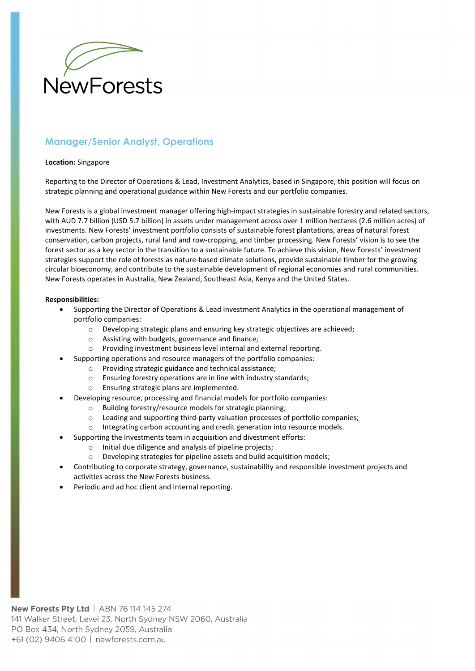

# **Manager/Senior Analyst, Operations**

#### **Location:** Singapore

Reporting to the Director of Operations & Lead, Investment Analytics, based in Singapore, this position will focus on strategic planning and operational guidance within New Forests and our portfolio companies.

New Forests is a global investment manager offering high-impact strategies in sustainable forestry and related sectors, with AUD 7.7 billion (USD 5.7 billion) in assets under management across over 1 million hectares (2.6 million acres) of investments. New Forests' investment portfolio consists of sustainable forest plantations, areas of natural forest conservation, carbon projects, rural land and row-cropping, and timber processing. New Forests' vision is to see the forest sector as a key sector in the transition to a sustainable future. To achieve this vision, New Forests' investment strategies support the role of forests as nature-based climate solutions, provide sustainable timber for the growing circular bioeconomy, and contribute to the sustainable development of regional economies and rural communities. New Forests operates in Australia, New Zealand, Southeast Asia, Kenya and the United States.

### **Responsibilities:**

- Supporting the Director of Operations & Lead Investment Analytics in the operational management of portfolio companies:
	- o Developing strategic plans and ensuring key strategic objectives are achieved;
	- o Assisting with budgets, governance and finance;
	- o Providing investment business level internal and external reporting.
	- Supporting operations and resource managers of the portfolio companies:
		- o Providing strategic guidance and technical assistance;
		- o Ensuring forestry operations are in line with industry standards;
		- o Ensuring strategic plans are implemented.
- Developing resource, processing and financial models for portfolio companies:
	- o Building forestry/resource models for strategic planning;
	- $\circ$  Leading and supporting third-party valuation processes of portfolio companies;
	- o Integrating carbon accounting and credit generation into resource models.
- Supporting the Investments team in acquisition and divestment efforts:
	- o Initial due diligence and analysis of pipeline projects;
	- o Developing strategies for pipeline assets and build acquisition models;
- Contributing to corporate strategy, governance, sustainability and responsible investment projects and activities across the New Forests business.
- Periodic and ad hoc client and internal reporting.

**New Forests Ptv Ltd** | ABN 76 114 145 274 141 Walker Street, Level 23, North Sydney NSW 2060, Australia PO Box 434, North Sydney 2059, Australia +61 (02) 9406 4100 | newforests.com.au